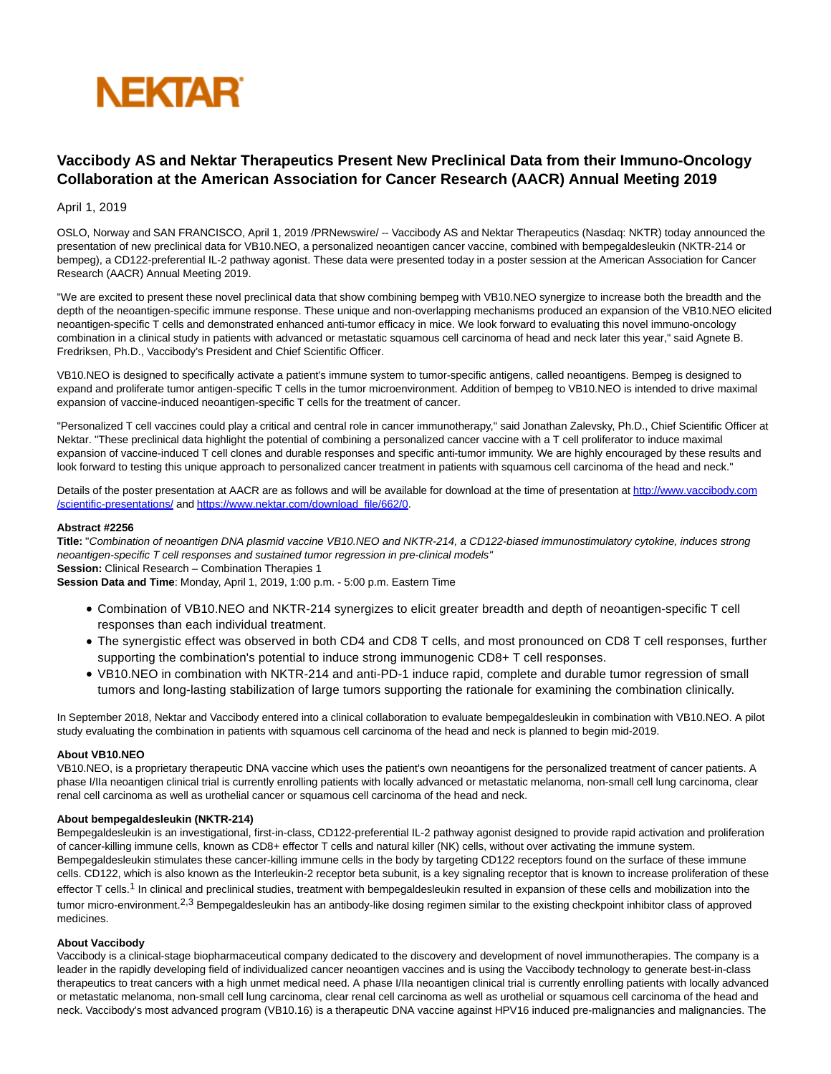

# **Vaccibody AS and Nektar Therapeutics Present New Preclinical Data from their Immuno-Oncology Collaboration at the American Association for Cancer Research (AACR) Annual Meeting 2019**

# April 1, 2019

OSLO, Norway and SAN FRANCISCO, April 1, 2019 /PRNewswire/ -- Vaccibody AS and Nektar Therapeutics (Nasdaq: NKTR) today announced the presentation of new preclinical data for VB10.NEO, a personalized neoantigen cancer vaccine, combined with bempegaldesleukin (NKTR-214 or bempeg), a CD122-preferential IL-2 pathway agonist. These data were presented today in a poster session at the American Association for Cancer Research (AACR) Annual Meeting 2019.

"We are excited to present these novel preclinical data that show combining bempeg with VB10.NEO synergize to increase both the breadth and the depth of the neoantigen-specific immune response. These unique and non-overlapping mechanisms produced an expansion of the VB10.NEO elicited neoantigen-specific T cells and demonstrated enhanced anti-tumor efficacy in mice. We look forward to evaluating this novel immuno-oncology combination in a clinical study in patients with advanced or metastatic squamous cell carcinoma of head and neck later this year," said Agnete B. Fredriksen, Ph.D., Vaccibody's President and Chief Scientific Officer.

VB10.NEO is designed to specifically activate a patient's immune system to tumor-specific antigens, called neoantigens. Bempeg is designed to expand and proliferate tumor antigen-specific T cells in the tumor microenvironment. Addition of bempeg to VB10.NEO is intended to drive maximal expansion of vaccine-induced neoantigen-specific T cells for the treatment of cancer.

"Personalized T cell vaccines could play a critical and central role in cancer immunotherapy," said Jonathan Zalevsky, Ph.D., Chief Scientific Officer at Nektar. "These preclinical data highlight the potential of combining a personalized cancer vaccine with a T cell proliferator to induce maximal expansion of vaccine-induced T cell clones and durable responses and specific anti-tumor immunity. We are highly encouraged by these results and look forward to testing this unique approach to personalized cancer treatment in patients with squamous cell carcinoma of the head and neck."

Details of the poster presentation at AACR are as follows and will be available for download at the time of presentation at [http://www.vaccibody.com](https://c212.net/c/link/?t=0&l=en&o=2420633-1&h=3409470787&u=http%3A%2F%2Fwww.vaccibody.com%2Fscientific-presentations%2F&a=http%3A%2F%2Fwww.vaccibody.com%2Fscientific-presentations%2F) /scientific-presentations/ an[d https://www.nektar.com/download\\_file/662/0.](https://c212.net/c/link/?t=0&l=en&o=2420633-1&h=2962305074&u=https%3A%2F%2Fwww.nektar.com%2Fdownload_file%2F662%2F0&a=https%3A%2F%2Fwww.nektar.com%2Fdownload_file%2F662%2F0)

# **Abstract #2256**

**Title:** "Combination of neoantigen DNA plasmid vaccine VB10.NEO and NKTR-214, a CD122-biased immunostimulatory cytokine, induces strong neoantigen-specific T cell responses and sustained tumor regression in pre-clinical models" **Session:** Clinical Research – Combination Therapies 1

**Session Data and Time**: Monday, April 1, 2019, 1:00 p.m. - 5:00 p.m. Eastern Time

- Combination of VB10.NEO and NKTR-214 synergizes to elicit greater breadth and depth of neoantigen-specific T cell responses than each individual treatment.
- The synergistic effect was observed in both CD4 and CD8 T cells, and most pronounced on CD8 T cell responses, further supporting the combination's potential to induce strong immunogenic CD8+ T cell responses.
- VB10.NEO in combination with NKTR-214 and anti-PD-1 induce rapid, complete and durable tumor regression of small tumors and long-lasting stabilization of large tumors supporting the rationale for examining the combination clinically.

In September 2018, Nektar and Vaccibody entered into a clinical collaboration to evaluate bempegaldesleukin in combination with VB10.NEO. A pilot study evaluating the combination in patients with squamous cell carcinoma of the head and neck is planned to begin mid-2019.

# **About VB10.NEO**

VB10.NEO, is a proprietary therapeutic DNA vaccine which uses the patient's own neoantigens for the personalized treatment of cancer patients. A phase I/IIa neoantigen clinical trial is currently enrolling patients with locally advanced or metastatic melanoma, non-small cell lung carcinoma, clear renal cell carcinoma as well as urothelial cancer or squamous cell carcinoma of the head and neck.

# **About bempegaldesleukin (NKTR-214)**

Bempegaldesleukin is an investigational, first-in-class, CD122-preferential IL-2 pathway agonist designed to provide rapid activation and proliferation of cancer-killing immune cells, known as CD8+ effector T cells and natural killer (NK) cells, without over activating the immune system. Bempegaldesleukin stimulates these cancer-killing immune cells in the body by targeting CD122 receptors found on the surface of these immune cells. CD122, which is also known as the Interleukin-2 receptor beta subunit, is a key signaling receptor that is known to increase proliferation of these effector T cells.<sup>1</sup> In clinical and preclinical studies, treatment with bempegaldesleukin resulted in expansion of these cells and mobilization into the tumor micro-environment.<sup>2,3</sup> Bempegaldesleukin has an antibody-like dosing regimen similar to the existing checkpoint inhibitor class of approved medicines.

#### **About Vaccibody**

Vaccibody is a clinical-stage biopharmaceutical company dedicated to the discovery and development of novel immunotherapies. The company is a leader in the rapidly developing field of individualized cancer neoantigen vaccines and is using the Vaccibody technology to generate best-in-class therapeutics to treat cancers with a high unmet medical need. A phase I/IIa neoantigen clinical trial is currently enrolling patients with locally advanced or metastatic melanoma, non-small cell lung carcinoma, clear renal cell carcinoma as well as urothelial or squamous cell carcinoma of the head and neck. Vaccibody's most advanced program (VB10.16) is a therapeutic DNA vaccine against HPV16 induced pre-malignancies and malignancies. The